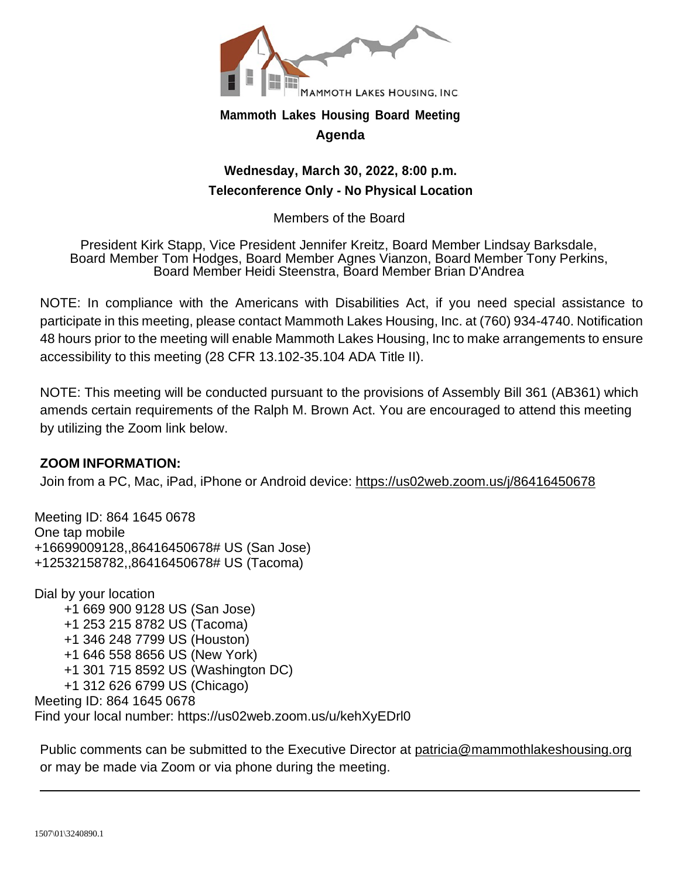

# **Mammoth Lakes Housing Board Meeting Agenda**

# **Wednesday, March 30, 2022, 8:00 p.m. Teleconference Only - No Physical Location**

Members of the Board

President Kirk Stapp, Vice President Jennifer Kreitz, Board Member Lindsay Barksdale, Board Member Tom Hodges, Board Member Agnes Vianzon, Board Member Tony Perkins, Board Member Heidi Steenstra, Board Member Brian D'Andrea

NOTE: In compliance with the Americans with Disabilities Act, if you need special assistance to participate in this meeting, please contact Mammoth Lakes Housing, Inc. at (760) 934-4740. Notification 48 hours prior to the meeting will enable Mammoth Lakes Housing, Inc to make arrangements to ensure accessibility to this meeting (28 CFR 13.102-35.104 ADA Title II).

NOTE: This meeting will be conducted pursuant to the provisions of Assembly Bill 361 (AB361) which amends certain requirements of the Ralph M. Brown Act. You are encouraged to attend this meeting by utilizing the Zoom link below.

# **ZOOM INFORMATION:**

Join from a PC, Mac, iPad, iPhone or Android device: https://us02web.zoom.us/j/86416450678

Meeting ID: 864 1645 0678 One tap mobile +16699009128,,86416450678# US (San Jose) +12532158782,,86416450678# US (Tacoma)

Dial by your location +1 669 900 9128 US (San Jose) +1 253 215 8782 US (Tacoma) +1 346 248 7799 US (Houston) +1 646 558 8656 US (New York) +1 301 715 8592 US (Washington DC) +1 312 626 6799 US (Chicago) Meeting ID: 864 1645 0678 Find your local number: https://us02web.zoom.us/u/kehXyEDrl0

Public comments can be submitted to the Executive Director at patricia@mammothlakeshousing.org or may be made via Zoom or via phone during the meeting.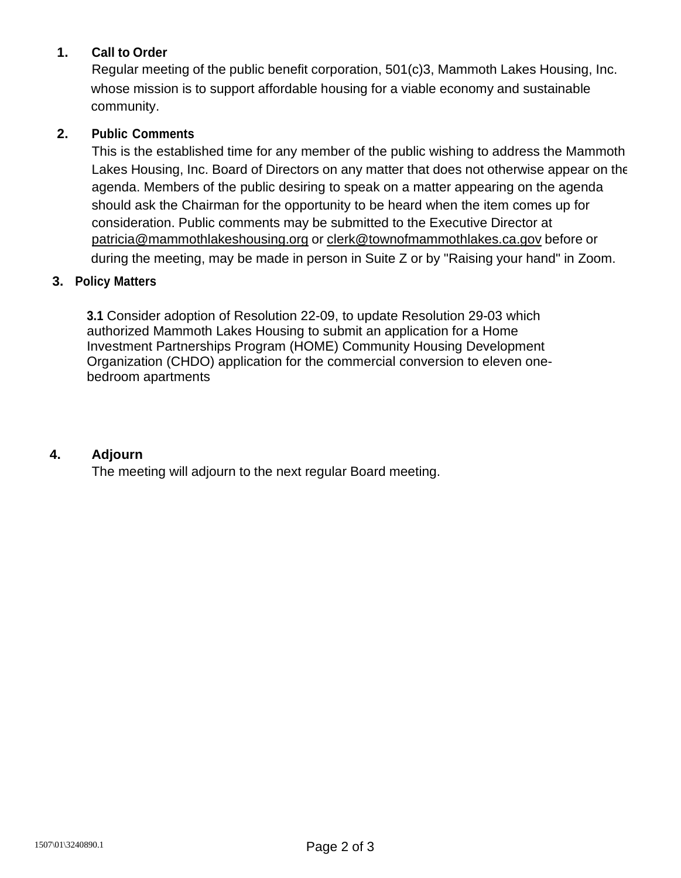# **1. Call to Order**

Regular meeting of the public benefit corporation, 501(c)3, Mammoth Lakes Housing, Inc. whose mission is to support affordable housing for a viable economy and sustainable community.

# **2. Public Comments**

This is the established time for any member of the public wishing to address the Mammoth Lakes Housing, Inc. Board of Directors on any matter that does not otherwise appear on the agenda. Members of the public desiring to speak on a matter appearing on the agenda should ask the Chairman for the opportunity to be heard when the item comes up for consideration. Public comments may be submitted to the Executive Director at patricia@mammothlakeshousing.org or clerk@townofmammothlakes.ca.gov before or during the meeting, may be made in person in Suite Z or by "Raising your hand" in Zoom.

## **3. Policy Matters**

**3.1** Consider adoption of Resolution 22-09, to update Resolution 29-03 which authorized Mammoth Lakes Housing to submit an application for a Home Investment Partnerships Program (HOME) Community Housing Development Organization (CHDO) application for the commercial conversion to eleven onebedroom apartments

### **4. Adjourn**

The meeting will adjourn to the next regular Board meeting.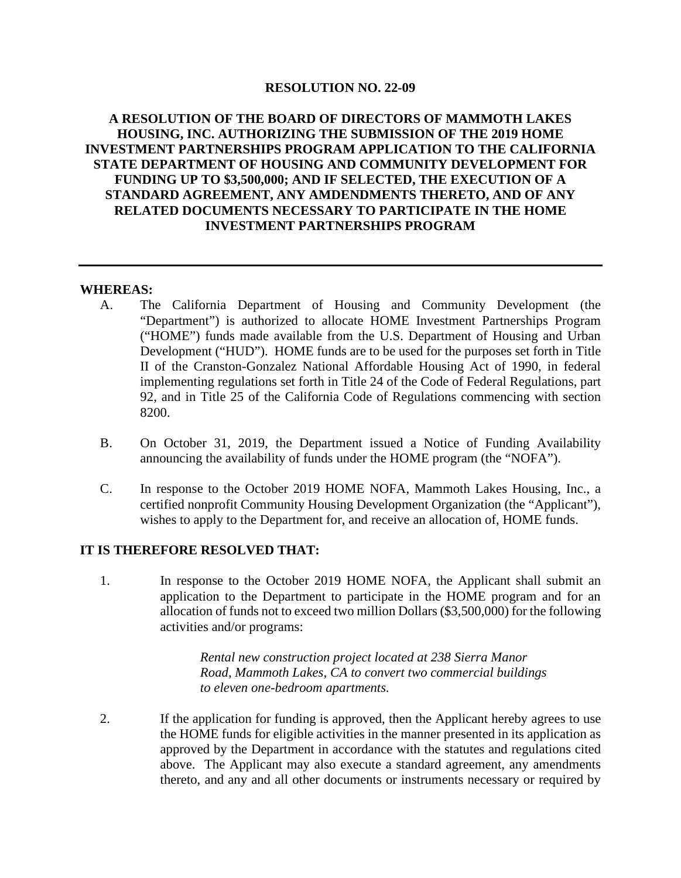### **RESOLUTION NO. 22-09**

### **A RESOLUTION OF THE BOARD OF DIRECTORS OF MAMMOTH LAKES HOUSING, INC. AUTHORIZING THE SUBMISSION OF THE 2019 HOME INVESTMENT PARTNERSHIPS PROGRAM APPLICATION TO THE CALIFORNIA STATE DEPARTMENT OF HOUSING AND COMMUNITY DEVELOPMENT FOR FUNDING UP TO \$3,500,000; AND IF SELECTED, THE EXECUTION OF A STANDARD AGREEMENT, ANY AMDENDMENTS THERETO, AND OF ANY RELATED DOCUMENTS NECESSARY TO PARTICIPATE IN THE HOME INVESTMENT PARTNERSHIPS PROGRAM**

#### **WHEREAS:**

- A. The California Department of Housing and Community Development (the "Department") is authorized to allocate HOME Investment Partnerships Program ("HOME") funds made available from the U.S. Department of Housing and Urban Development ("HUD"). HOME funds are to be used for the purposes set forth in Title II of the Cranston-Gonzalez National Affordable Housing Act of 1990, in federal implementing regulations set forth in Title 24 of the Code of Federal Regulations, part 92, and in Title 25 of the California Code of Regulations commencing with section 8200.
- B. On October 31, 2019, the Department issued a Notice of Funding Availability announcing the availability of funds under the HOME program (the "NOFA").
- C. In response to the October 2019 HOME NOFA, Mammoth Lakes Housing, Inc., a certified nonprofit Community Housing Development Organization (the "Applicant"), wishes to apply to the Department for, and receive an allocation of, HOME funds.

### **IT IS THEREFORE RESOLVED THAT:**

1. In response to the October 2019 HOME NOFA, the Applicant shall submit an application to the Department to participate in the HOME program and for an allocation of funds not to exceed two million Dollars (\$3,500,000) for the following activities and/or programs:

> *Rental new construction project located at 238 Sierra Manor Road, Mammoth Lakes, CA to convert two commercial buildings to eleven one-bedroom apartments.*

2. If the application for funding is approved, then the Applicant hereby agrees to use the HOME funds for eligible activities in the manner presented in its application as approved by the Department in accordance with the statutes and regulations cited above. The Applicant may also execute a standard agreement, any amendments thereto, and any and all other documents or instruments necessary or required by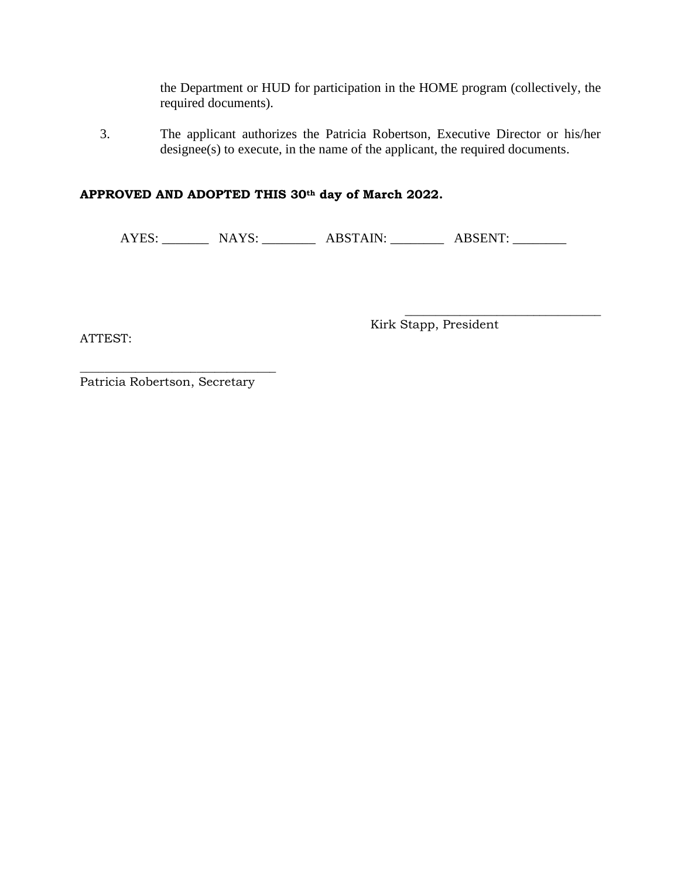the Department or HUD for participation in the HOME program (collectively, the required documents).

3. The applicant authorizes the Patricia Robertson, Executive Director or his/her designee(s) to execute, in the name of the applicant, the required documents.

## **APPROVED AND ADOPTED THIS 30th day of March 2022.**

AYES: \_\_\_\_\_\_\_\_\_ NAYS: \_\_\_\_\_\_\_\_\_ ABSTAIN: \_\_\_\_\_\_\_\_ ABSENT: \_\_\_\_\_\_\_\_

ATTEST:

Kirk Stapp, President

\_\_\_\_\_\_\_\_\_\_\_\_\_\_\_\_\_\_\_\_\_\_\_\_\_\_\_\_\_\_\_\_

\_\_\_\_\_\_\_\_\_\_\_\_\_\_\_\_\_\_\_\_\_\_\_\_\_\_\_\_\_\_\_\_ Patricia Robertson, Secretary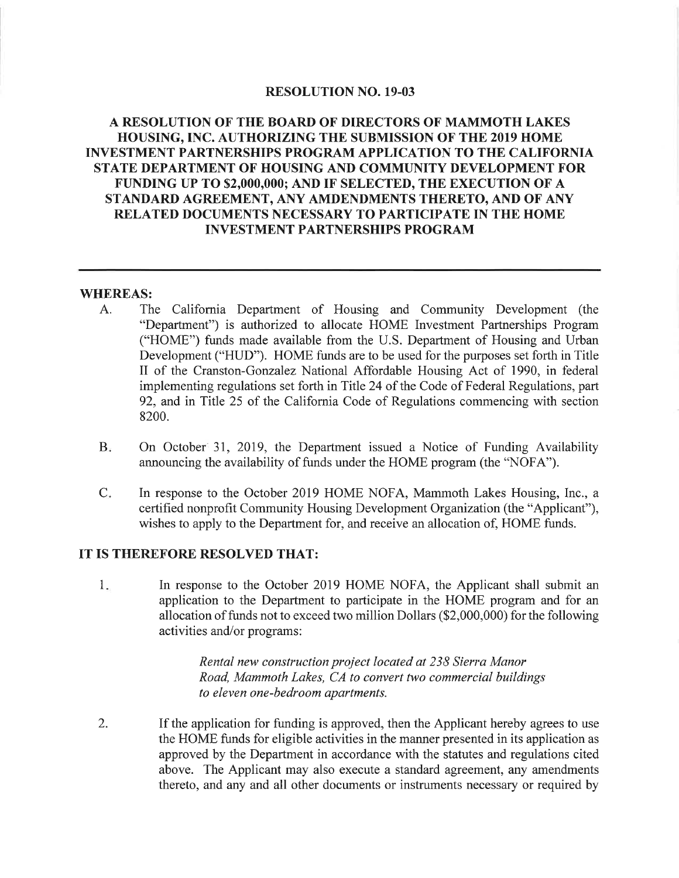### **RESOLUTION NO. 19-03**

### A RESOLUTION OF THE BOARD OF DIRECTORS OF MAMMOTH LAKES **HOUSING. INC. AUTHORIZING THE SUBMISSION OF THE 2019 HOME INVESTMENT PARTNERSHIPS PROGRAM APPLICATION TO THE CALIFORNIA** STATE DEPARTMENT OF HOUSING AND COMMUNITY DEVELOPMENT FOR FUNDING UP TO \$2,000,000; AND IF SELECTED, THE EXECUTION OF A STANDARD AGREEMENT, ANY AMDENDMENTS THERETO, AND OF ANY RELATED DOCUMENTS NECESSARY TO PARTICIPATE IN THE HOME **INVESTMENT PARTNERSHIPS PROGRAM**

#### **WHEREAS:**

- The California Department of Housing and Community Development (the A. "Department") is authorized to allocate HOME Investment Partnerships Program ("HOME") funds made available from the U.S. Department of Housing and Urban Development ("HUD"). HOME funds are to be used for the purposes set forth in Title II of the Cranston-Gonzalez National Affordable Housing Act of 1990, in federal implementing regulations set forth in Title 24 of the Code of Federal Regulations, part 92, and in Title 25 of the California Code of Regulations commencing with section 8200.
- $B<sub>x</sub>$ On October 31, 2019, the Department issued a Notice of Funding Availability announcing the availability of funds under the HOME program (the "NOFA").
- $C_{\star}$ In response to the October 2019 HOME NOFA, Mammoth Lakes Housing, Inc., a certified nonprofit Community Housing Development Organization (the "Applicant"), wishes to apply to the Department for, and receive an allocation of, HOME funds.

#### IT IS THEREFORE RESOLVED THAT:

 $1.$ In response to the October 2019 HOME NOFA, the Applicant shall submit an application to the Department to participate in the HOME program and for an allocation of funds not to exceed two million Dollars (\$2,000,000) for the following activities and/or programs:

> Rental new construction project located at 238 Sierra Manor Road, Mammoth Lakes, CA to convert two commercial buildings to eleven one-bedroom apartments.

2. If the application for funding is approved, then the Applicant hereby agrees to use the HOME funds for eligible activities in the manner presented in its application as approved by the Department in accordance with the statutes and regulations cited above. The Applicant may also execute a standard agreement, any amendments thereto, and any and all other documents or instruments necessary or required by